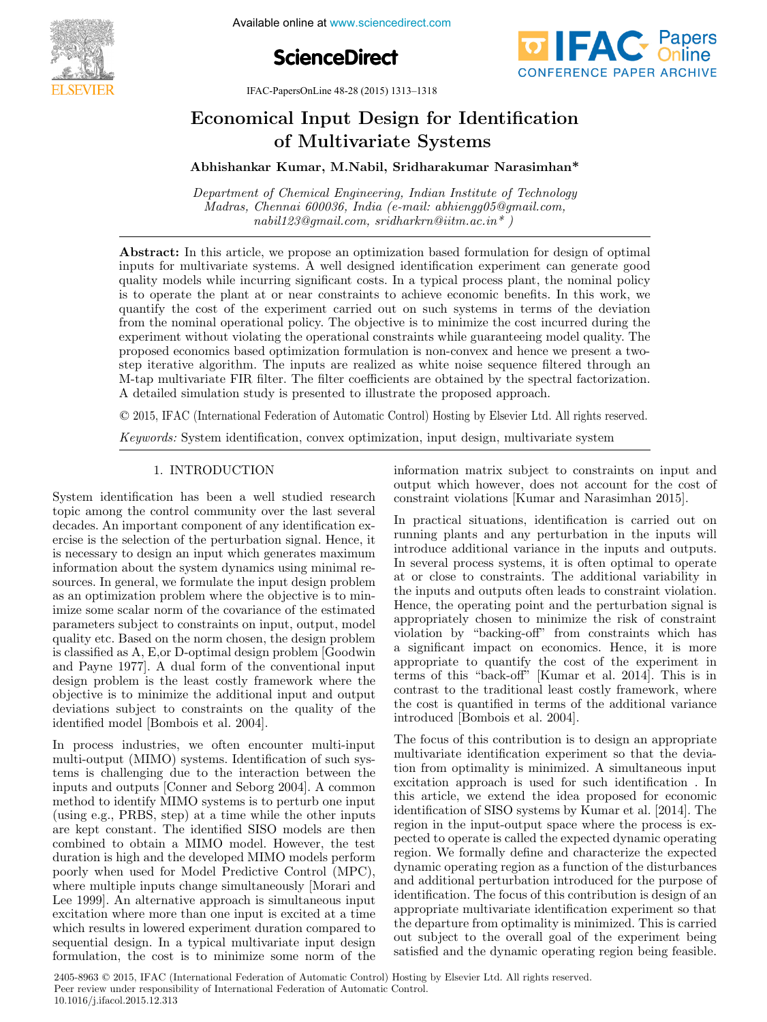

**17th Indian Available online at www.sciencedirect.com** 





IFAC-PapersOnLine 48-28 (2015) 1313–1318

#### Economical Input Design for Identification of Multivariate Systems of Multivariate Systems of Multivariate Systems of Multivariate Systems  $E = \frac{1}{2} \int_{0}^{2\pi} \frac{1}{2} \, dx$ cal Input Design for Idel Economical Input Design for Identification Economical Input Design for Identification Economical Input Design for Identification

Abhishankar Kumar, M.Nabil, Sridharakumar Narasimhan\* Abhishankar Kumar, M.Nabil, Sridharakumar Narasimhan<sup>\*</sup>

Madras, Chennai 600036, India (e-mail: abhiengg05@gmail.com, Madras, Chennai 600036, India (e-mail: abhiengg05@gmail.com,  $n$  is a generated by state in the infinite interpretation  $\frac{1}{2}$ Department of Chemical Engineering, Indian Institute of Technology Department of Chemical Engineering, Indian Institute of Technology Department of Chemical Engineering, Indian Institute of Technology  $nabil123@gmail.com, \, sridharkrn@iitm.ac.in*$ )

nabilization and international community of the state of the state of the state of the state of the state of t

inputs for multivariate systems. A well designed identification experiment can generate good quality models while incurring significant costs. In a typical process plant, the nominal policy is to operate the plant at or near constraints to achieve economic benefits. In this work, we quantify the cost of the experiment carried out on such systems in terms of the deviation from the nominal operational policy. The objective is to minimize the cost incurred during the experiment without violating the operational constraints while guaranteeing model quality. The proposed economics based optimization formulation is non-convex and hence we present a twostep iterative algorithm. The inputs are realized as white noise sequence filtered through an M-tap multivariate FIR filter. The filter coefficients are obtained by the spectral factorization. A detailed simulation study is presented to illustrate the proposed approach. Abstract: In this article, we propose an optimization based formulation for design of optimal In this article, we propose an optimization based formulation for design of optimal<br>inputs for multivariate systems. A well designed identification experiment can generate good inputs for multivariate systems. A well designed identification experiment can generate good quality models while incurring significant costs. In a typical process plant, the nominal policy quality models while incurring significant costs. In a typical process plant, the nominal policy, is to operate the plant at or near constraints to achieve economic benefits. In this work, we is to operate the plant at or near constraints to achieve economic benefits. In this work, we quantify the cost of the experiment carried out on such systems in terms of the deviation quantify the cost of the experiment carried out on such systems in terms of the deviation<br>from the nominal operational policy. The objective is to minimize the cost incurred during the from the nominal operational policy. The objective is to minimize the cost incurred during the experiment without violating the operational constraints while guaranteeing model quality. The experiment without violating the operational constraints while guaranteeing model quality. The proposed economics based optimization formulation is non-convex and hence we present a twoproposed economics based optimization formulation is non-convex and hence we present a two-<br>step iterative algorithm. The inputs are realized as white noise sequence filtered through an M-tap multivariate FIR filter. The filter coefficients are obtained by the spectral factorization.  $M_{\rm eff}$  multiplation  $\sinh 2$  is presented to illustrate the proposed approach. A detailed simulation study is presented to illustrate the proposed approach.

© 2015, IFAC (International Federation of Automatic Control) Hosting by Elsevier Ltd. All rights reserved.

Keywords: System identification, convex optimization, input design, multivariate system Keywords: System identification, convex optimization, input design, multivariate system

# 1. INTRODUCTION 1. INTRODUCTION 1. INTRODUCTION 1. INTRODUCTION 1. INTRODUCTION

System identification has been a well studied research bystem definition has been a wen studied research decades. An important component of any identification exdecades. An important component of any identification ex-<br>ercise is the selection of the perturbation signal. Hence, it is the selection of the perturbation signal. Hence, it<br>is necessary to design an input which generates maximum is necessary to design an input which generates maximum<br>information about the system dynamics using minimal remiorination about the system dynamics using imminal re-<br>sources. In general, we formulate the input design problem sources. In general, we formulate the input design problem<br>as an optimization problem where the objective is to minas an optimization problem where the objective is to min-<br>imize some scalar norm of the covariance of the estimated parameters subject to constraints on input, output, model parameters subject to constraints on mput, output, model<br>quality etc. Based on the norm chosen, the design problem quanty etc. Based on the norm chosen, the design problem<br>is classified as A, E, or D-optimal design problem [Goodwin is classified as A, E, or D-optimal design problem [Goodwind and Payne 1977]. A dual form of the conventional input design problem is the least costly framework where the design problem is the least costly namework where the objective is to imminize the additional liptu and output<br>deviations subject to constraints on the quality of the identified model [Bombois et al. 2004].  $d$  and  $\bf{1}$  dyne  $\bf{1}$   $\bf{3}$   $\bf{1}$ . A dual form of the conventional input identified model [Bombois et al. 2004]. identified model [Bombois et al. 2004]. identified model [Bombois et al. 2004]. and Payne 1977]. A dual form of the conventional input and Payne 1977]. A dual form of the conventional input

In process industries, we often encounter multi-input multi-output (MIMO) systems. Identification of such systhat is challenging due to the interaction between the lients is changing due to the interaction between the<br>inputs and outputs [Conner and Seborg 2004]. A common mpus and outputs [Conner and Seborg 2004]. A common<br>method to identify MIMO systems is to perturb one input (using e.g., PRBS, step) at a time while the other inputs (using e.g., 1 KB3, step) at a time wine the other inputs<br>are kept constant. The identified SISO models are then combined to obtain a MIMO model. However, the test combined to obtain a MINO model. However, the test<br>duration is high and the developed MIMO models perform duration is ingn and the developed MIMO models perform<br>poorly when used for Model Predictive Control (MPC), poorly when used for Moder Predictive Control (MPC),<br>where multiple inputs change simultaneously [Morari and where mutriple inputs change simultaneously [with and<br>Lee 1999]. An alternative approach is simultaneous input Lee 1999]. An alternative approach is simultaneous input<br>excitation where more than one input is excited at a time excitation where more than one mput is excited at a time<br>which results in lowered experiment duration compared to which results in lowered experiment duration compared to<br>sequential design. In a typical multivariate input design formulation, the cost is to minimize some norm of the formulation, the cost is to minimize some norm of the formulation, the cost is to minimize some norm of the formulation, the cost is to minimize some norm of the multi-output (MIMO) systems. Identification of such sys-In process industries, we often encounter multi-input information matrix subject to constraints on input and output which however, does not account for the cost of constraint violations [Kumar and Narasimhan 2015]. information matrix subject to constraints on input and constraint violations [Kumar and Narasimhan 2015]. constraint violations [Kumar and Narasimhan 2015]. constraint violations [Kumar and Narasimhan 2015].

In practical situations, identification is carried out on In practical students, identification is carried out on running piants and any perturbation in the inputs will In several process systems, it is often optimal to operate In several process systems, it is often optimal to operate at or close to constraints. The additional variability in Hence, the operating point and the perturbation signal is nence, the operating point and the perturbation signal is<br>appropriately chosen to minimize the risk of constraint appropriately chosen to minimize the risk of constraint wiolation by "backing-off" from constraints which has a significant impact on economics. Hence, it is more appropriate to quantify the cost of the experiment in terms of this "back-off" [Kumar et al. 2014]. This is in  $\text{contrast to the traditional least costly framework, where}$ the cost is quantified in terms of the additional variance introduced [Bombois et al. 2004]. introduced [Bombois et al. 2004]. introduced [Bombois et al. 2004]. introduced [Bombois et al. 2004]. appropriate to quantify the cost of the experiment in terms of this "back-off" [Kumar et al. 2014]. This is in  $T_{\text{tot}}$  of the focus of the design and  $T_{\text{tot}}$  and  $T_{\text{tot}}$ violation by backing-on nom constraints which has a significant impact on economics. Hence, it is more appropriate to quantify the cost of the experiment in contrast to the traditional least costly framework, where violation by "backing-off" from constraints which has violation by "backing-off" from constraints which has appropriate to quantify the cost of the experiment in  $t$ <sub>terms</sub> of this "back-off" [Kumar et al. 2014]. This is in contrast to the traditional least costly framework, where contrast to the traditional least costly framework, where a significant impact on economics. Hence, it is more appropriate to quantify the cost of the experiment in terms of this "back-off" [Kumar et al. 2014]. This is in

The focus of this contribution is to design an appropriate The locus of this contribution is to design an appropriate<br>multivariate identification experiment so that the deviamutrivariate identification experiment so that the devia-<br>tion from optimality is minimized. A simultaneous input excitation approach is used for such identification. In excitation approach is used to such definition. identification of SISO systems by Kumar et al. [2014]. The region in the input-output space where the process is exregion in the input-output space where the process is expected to operate is called the expected dynamic operating<br>region. We formally define and characterize the expected region. We formally define and characterize the expected dynamic operating region as a function of the disturbances and additional perturbation introduced for the purpose of identification. The focus of this contribution is design of an dentification. The focus of this contribution is design of an appropriate multivariate identification experiment so that<br>the departure from optimality is minimized. This is carried out subject to the overall goal of the experiment being out subject to the overall goal of the experiment being<br>satisfied and the dynamic operating region being feasible. The focus of this contribution is to design an appropriate and additional perturbation introduced for the purpose of dynamic operating region as a function of the disturbances dynamic operating region as a function of the disturbances

2405-8963 © 2015, IFAC (International Federation of Automatic Control) Hosting by Elsevier Ltd. All rights reserved. 2400-8905  $\otimes$  2015, If AC (international Federation of Automatic Control) Hosting<br>Peer review under responsibility of International Federation of Automatic Control. 10.1016/j.ifacol.2015.12.313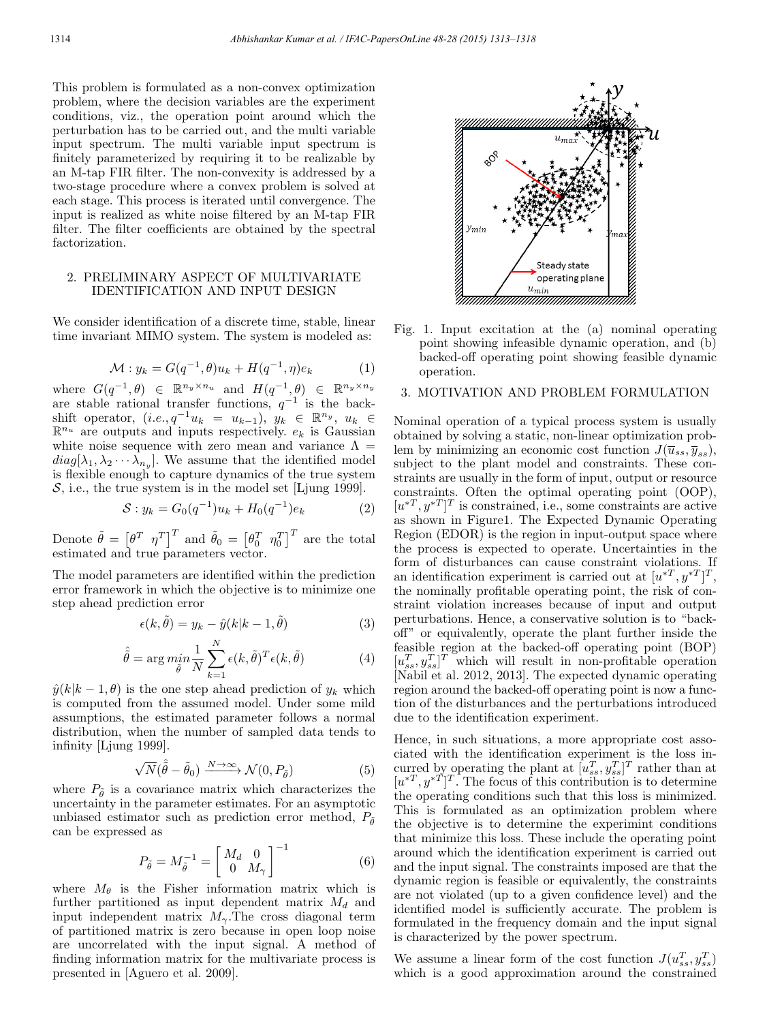This problem is formulated as a non-convex optimization problem, where the decision variables are the experiment conditions, viz., the operation point around which the perturbation has to be carried out, and the multi variable input spectrum. The multi variable input spectrum is finitely parameterized by requiring it to be realizable by an M-tap FIR filter. The non-convexity is addressed by a two-stage procedure where a convex problem is solved at each stage. This process is iterated until convergence. The input is realized as white noise filtered by an M-tap FIR filter. The filter coefficients are obtained by the spectral factorization.

# 2. PRELIMINARY ASPECT OF MULTIVARIATE IDENTIFICATION AND INPUT DESIGN

We consider identification of a discrete time, stable, linear time invariant MIMO system. The system is modeled as:

$$
\mathcal{M}: y_k = G(q^{-1}, \theta)u_k + H(q^{-1}, \eta)e_k \tag{1}
$$

where  $G(q^{-1}, \theta) \in \mathbb{R}^{n_y \times n_u}$  and  $H(q^{-1}, \theta) \in \mathbb{R}^{n_y \times n_y}$ <br>are stable rational transfer functions,  $q^{-1}$  is the backshift operator,  $(i.e., q^{-1}u_k = u_{k-1}), y_k \in \mathbb{R}^{n_y}, u_k \in \mathbb{R}^{n_x}$  $\mathbb{R}^{n_u}$  are outputs and inputs respectively.  $e_k$  is Gaussian white noise sequence with zero mean and variance  $\Lambda =$  $diag[\lambda_1, \lambda_2 \cdots \lambda_{n_u}]$ . We assume that the identified model is flexible enough to capture dynamics of the true system S, i.e., the true system is in the model set [Ljung 1999].

$$
S: y_k = G_0(q^{-1})u_k + H_0(q^{-1})e_k \tag{2}
$$

Denote  $\tilde{\theta} = \begin{bmatrix} \theta^T & \eta^T \end{bmatrix}^T$  and  $\tilde{\theta}_0 = \begin{bmatrix} \theta_0^T & \eta_0^T \end{bmatrix}^T$  are the total estimated and true parameters vector.

The model parameters are identified within the prediction error framework in which the objective is to minimize one step ahead prediction error

$$
\epsilon(k,\tilde{\theta}) = y_k - \hat{y}(k|k-1,\tilde{\theta})
$$
\n(3)

$$
\hat{\tilde{\theta}} = \arg \min_{\tilde{\theta}} \frac{1}{N} \sum_{k=1}^{N} \epsilon(k, \tilde{\theta})^T \epsilon(k, \tilde{\theta})
$$
(4)

 $\hat{y}(k|k-1,\theta)$  is the one step ahead prediction of  $y_k$  which is computed from the assumed model. Under some mild assumptions, the estimated parameter follows a normal distribution, when the number of sampled data tends to infinity [Ljung 1999].

$$
\sqrt{N}(\hat{\hat{\theta}} - \tilde{\theta}_0) \xrightarrow{N \to \infty} \mathcal{N}(0, P_{\tilde{\theta}})
$$
 (5)

where  $P_{\tilde{\theta}}$  is a covariance matrix which characterizes the uncertainty in the parameter estimates. For an asymptotic unbiased estimator such as prediction error method,  $P_{\tilde{\theta}}$ can be expressed as

$$
P_{\tilde{\theta}} = M_{\tilde{\theta}}^{-1} = \begin{bmatrix} M_d & 0 \\ 0 & M_{\gamma} \end{bmatrix}^{-1}
$$
 (6)

where  $M_{\theta}$  is the Fisher information matrix which is further partitioned as input dependent matrix  $M_d$  and input independent matrix  $M_{\gamma}$ . The cross diagonal term of partitioned matrix is zero because in open loop noise are uncorrelated with the input signal. A method of finding information matrix for the multivariate process is presented in [Aguero et al. 2009].



Fig. 1. Input excitation at the (a) nominal operating point showing infeasible dynamic operation, and (b) backed-off operating point showing feasible dynamic operation.

# 3. MOTIVATION AND PROBLEM FORMULATION

Nominal operation of a typical process system is usually obtained by solving a static, non-linear optimization problem by minimizing an economic cost function  $J(\overline{u}_{ss}, \overline{y}_{ss}),$ subject to the plant model and constraints. These constraints are usually in the form of input, output or resource constraints. Often the optimal operating point (OOP),  $[u^{*T}, y^{*T}]^T$  is constrained, i.e., some constraints are active as shown in Figure1. The Expected Dynamic Operating Region (EDOR) is the region in input-output space where the process is expected to operate. Uncertainties in the form of disturbances can cause constraint violations. If an identification experiment is carried out at  $[u^*T, y^{*T}]^T$ , the nominally profitable operating point, the risk of constraint violation increases because of input and output perturbations. Hence, a conservative solution is to "backoff" or equivalently, operate the plant further inside the feasible region at the backed-off operating point (BOP)  $[u_{ss}^T, y_{ss}^T]^T$  which will result in non-profitable operation [Nabil et al. 2012, 2013]. The expected dynamic operating region around the backed-off operating point is now a function of the disturbances and the perturbations introduced due to the identification experiment.

Hence, in such situations, a more appropriate cost associated with the identification experiment is the loss incurred by operating the plant at  $[u_{ss}^T, y_{ss}^T]^T$  rather than at  $[u^*T, y^*T]^T$ . The focus of this contribution is to determine the operating conditions such that this loss is minimized. This is formulated as an optimization problem where the objective is to determine the experimint conditions that minimize this loss. These include the operating point around which the identification experiment is carried out and the input signal. The constraints imposed are that the dynamic region is feasible or equivalently, the constraints are not violated (up to a given confidence level) and the identified model is sufficiently accurate. The problem is formulated in the frequency domain and the input signal is characterized by the power spectrum.

We assume a linear form of the cost function  $J(u_{ss}^T, y_{ss}^T)$ which is a good approximation around the constrained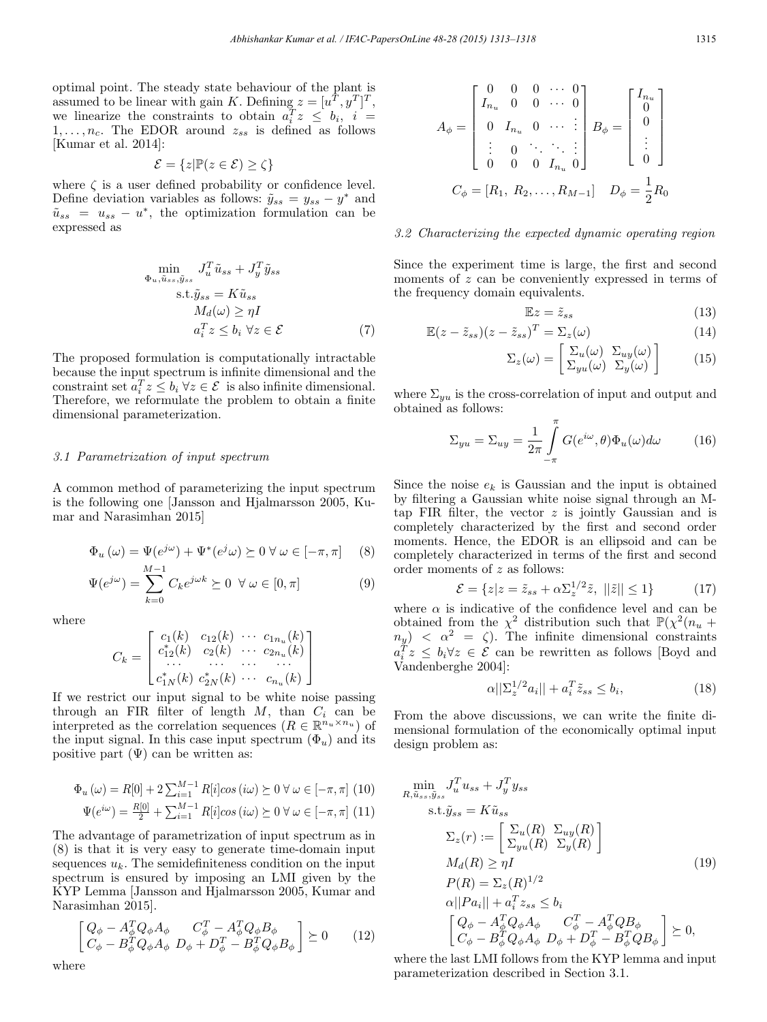optimal point. The steady state behaviour of the plant is assumed to be linear with gain K. Defining  $z = [u^T, y^T]^T$ , we linearize the constraints to obtain  $a_i^T z \leq b_i$ ,  $i =$  $1,\ldots,n_c$ . The EDOR around  $z_{ss}$  is defined as follows [Kumar et al. 2014]:

$$
\mathcal{E} = \{ z | \mathbb{P}(z \in \mathcal{E}) \ge \zeta \}
$$

where  $\zeta$  is a user defined probability or confidence level. Define deviation variables as follows:  $\tilde{y}_{ss} = y_{ss} - y^*$  and  $\tilde{u}_{ss} = u_{ss} - u^*$ , the optimization formulation can be expressed as

$$
\min_{\Phi_u, \tilde{u}_{ss}, \tilde{y}_{ss}} J_u^T \tilde{u}_{ss} + J_y^T \tilde{y}_{ss}
$$
\n
$$
\text{s.t.} \tilde{y}_{ss} = K \tilde{u}_{ss}
$$
\n
$$
M_d(\omega) \ge \eta I
$$
\n
$$
a_i^T z \le b_i \ \forall z \in \mathcal{E} \tag{7}
$$

The proposed formulation is computationally intractable because the input spectrum is infinite dimensional and the constraint set  $a_i^T z \leq b_i \,\forall z \in \mathcal{E}$  is also infinite dimensional. Therefore, we reformulate the problem to obtain a finite dimensional parameterization.

## 3.1 Parametrization of input spectrum

A common method of parameterizing the input spectrum is the following one [Jansson and Hjalmarsson 2005, Kumar and Narasimhan 2015]

$$
\Phi_u(\omega) = \Psi(e^{j\omega}) + \Psi^*(e^j\omega) \succeq 0 \,\forall \,\omega \in [-\pi, \pi] \tag{8}
$$

$$
\Psi(e^{j\omega}) = \sum_{k=0}^{M-1} C_k e^{j\omega k} \succeq 0 \quad \forall \omega \in [0, \pi]
$$
\n(9)

where

$$
C_k = \begin{bmatrix} c_1(k) & c_{12}(k) & \cdots & c_{1n_u}(k) \\ c_{12}^*(k) & c_{2}(k) & \cdots & c_{2n_u}(k) \\ \vdots & \vdots & \ddots & \vdots \\ c_{1N}^*(k) & c_{2N}^*(k) & \cdots & c_{n_u}(k) \end{bmatrix}
$$

If we restrict our input signal to be white noise passing through an FIR filter of length  $M$ , than  $C_i$  can be interpreted as the correlation sequences  $(R \in \mathbb{R}^{n_u \times n_u})$  of the input signal. In this case input spectrum  $(\Phi_u)$  and its positive part  $(\Psi)$  can be written as:

$$
\Phi_u(\omega) = R[0] + 2\sum_{i=1}^{M-1} R[i]\cos(i\omega) \succeq 0 \,\forall \,\omega \in [-\pi, \pi] \tag{10}
$$

$$
\Psi(e^{i\omega}) = \frac{R[0]}{2} + \sum_{i=1}^{M-1} R[i]\cos(i\omega) \succeq 0 \,\forall \,\omega \in [-\pi, \pi] \tag{11}
$$

The advantage of parametrization of input spectrum as in (8) is that it is very easy to generate time-domain input sequences  $u_k$ . The semidefiniteness condition on the input spectrum is ensured by imposing an LMI given by the KYP Lemma [Jansson and Hjalmarsson 2005, Kumar and Narasimhan 2015].

$$
\begin{bmatrix}\nQ_{\phi} - A_{\phi}^T Q_{\phi} A_{\phi} & C_{\phi}^T - A_{\phi}^T Q_{\phi} B_{\phi} \\
C_{\phi} - B_{\phi}^T Q_{\phi} A_{\phi} & D_{\phi} + D_{\phi}^T - B_{\phi}^T Q_{\phi} B_{\phi}\n\end{bmatrix} \succeq 0
$$
\n(12)

$$
A_{\phi} = \begin{bmatrix} 0 & 0 & 0 & \cdots & 0 \\ I_{n_u} & 0 & 0 & \cdots & 0 \\ 0 & I_{n_u} & 0 & \cdots & \vdots \\ \vdots & 0 & \ddots & \ddots & \vdots \\ 0 & 0 & 0 & I_{n_u} & 0 \end{bmatrix} B_{\phi} = \begin{bmatrix} I_{n_u} \\ 0 \\ 0 \\ \vdots \\ 0 \end{bmatrix}
$$

$$
C_{\phi} = [R_1, R_2, \ldots, R_{M-1}] \quad D_{\phi} = \frac{1}{2} R_0
$$

#### 3.2 Characterizing the expected dynamic operating region

Since the experiment time is large, the first and second moments of z can be conveniently expressed in terms of the frequency domain equivalents.

$$
\mathbb{E}z = \tilde{z}_{ss} \tag{13}
$$

$$
\mathbb{E}(z - \tilde{z}_{ss})(z - \tilde{z}_{ss})^T = \sum_{z}(\omega)
$$
 (14)

$$
\Sigma_z(\omega) = \begin{bmatrix} \Sigma_u(\omega) & \Sigma_{uy}(\omega) \\ \Sigma_{yu}(\omega) & \Sigma_y(\omega) \end{bmatrix}
$$
 (15)

where  $\Sigma_{uu}$  is the cross-correlation of input and output and obtained as follows:

$$
\Sigma_{yu} = \Sigma_{uy} = \frac{1}{2\pi} \int_{-\pi}^{\pi} G(e^{i\omega}, \theta) \Phi_u(\omega) d\omega \qquad (16)
$$

Since the noise  $e_k$  is Gaussian and the input is obtained by filtering a Gaussian white noise signal through an Mtap FIR filter, the vector  $z$  is jointly Gaussian and is completely characterized by the first and second order moments. Hence, the EDOR is an ellipsoid and can be completely characterized in terms of the first and second order moments of z as follows:

$$
\mathcal{E} = \{ z|z = \tilde{z}_{ss} + \alpha \Sigma_z^{1/2} \tilde{z}, \ ||\tilde{z}|| \le 1 \}
$$
 (17)

where  $\alpha$  is indicative of the confidence level and can be obtained from the  $\chi^2$  distribution such that  $\mathbb{P}(\chi^2(n_u +$  $n_y$ ) <  $\alpha^2 = \zeta$ ). The infinite dimensional constraints  $a_i^T z \leq b_i \forall z \in \mathcal{E}$  can be rewritten as follows [Boyd and Vandenberghe 2004]:

$$
\alpha||\Sigma_z^{1/2}a_i|| + a_i^T \tilde{z}_{ss} \le b_i,\tag{18}
$$

From the above discussions, we can write the finite dimensional formulation of the economically optimal input design problem as:

$$
\min_{R, \tilde{u}_{ss}, \tilde{y}_{ss}} J_u^T u_{ss} + J_y^T y_{ss}
$$
\n
$$
\text{s.t.} \tilde{y}_{ss} = K \tilde{u}_{ss}
$$
\n
$$
\Sigma_z(r) := \left[ \Sigma_u(R) \Sigma_{uy}(R) \right]
$$
\n
$$
M_d(R) \ge \eta I
$$
\n
$$
P(R) = \Sigma_z(R)^{1/2}
$$
\n
$$
\alpha ||Pa_i|| + a_i^T z_{ss} \le b_i
$$
\n
$$
\left[ Q_\phi - A_\phi^T Q_\phi A_\phi \quad C_\phi^T - A_\phi^T Q B_\phi \right] \ge 0,
$$
\n
$$
C_\phi - B_\phi^T Q_\phi A_\phi \quad D_\phi + D_\phi^T - B_\phi^T Q B_\phi \right] \ge 0,
$$

where the last LMI follows from the KYP lemma and input parameterization described in Section 3.1.

where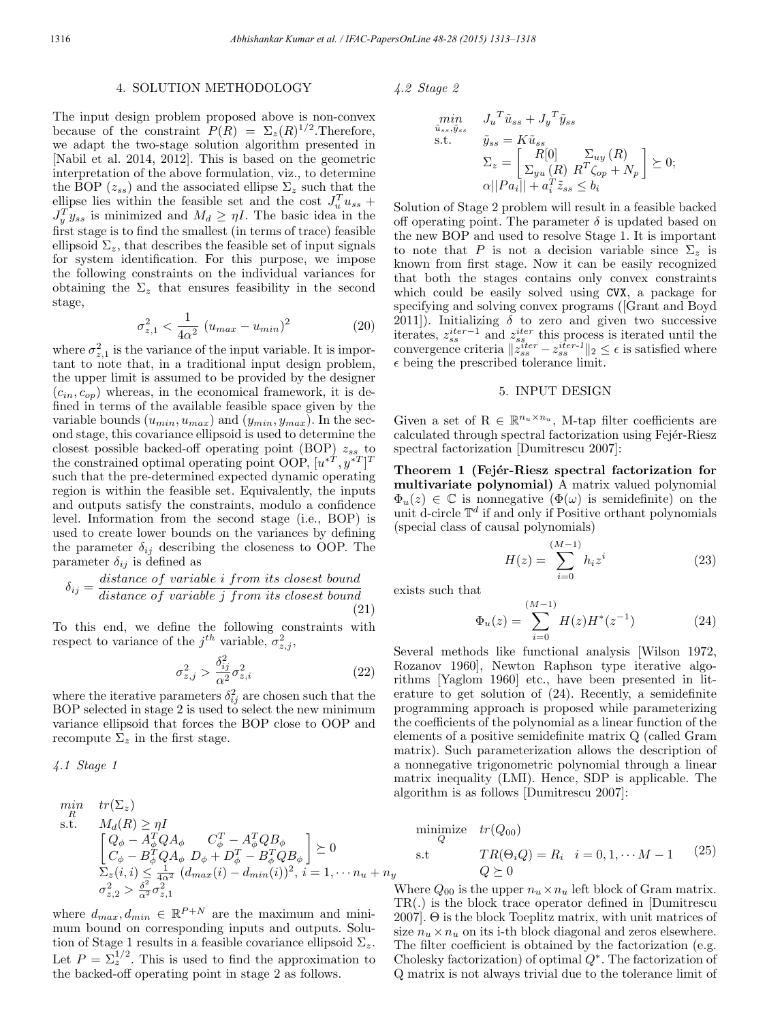## 4. SOLUTION METHODOLOGY

The input design problem proposed above is non-convex because of the constraint  $P(R) = \Sigma_z(R)^{1/2}$ . Therefore, we adapt the two-stage solution algorithm presented in [Nabil et al. 2014, 2012]. This is based on the geometric interpretation of the above formulation, viz., to determine the BOP  $(z_{ss})$  and the associated ellipse  $\Sigma_z$  such that the ellipse lies within the feasible set and the cost  $J_u^T u_{ss}$  +  $J_y^T y_{ss}$  is minimized and  $M_d \geq \eta I$ . The basic idea in the first stage is to find the smallest (in terms of trace) feasible ellipsoid  $\Sigma_z$ , that describes the feasible set of input signals for system identification. For this purpose, we impose the following constraints on the individual variances for obtaining the  $\Sigma_z$  that ensures feasibility in the second stage,

$$
\sigma_{z,1}^2 < \frac{1}{4\alpha^2} \left( u_{max} - u_{min} \right)^2 \tag{20}
$$

where  $\sigma_{z,1}^2$  is the variance of the input variable. It is important to note that, in a traditional input design problem, the upper limit is assumed to be provided by the designer  $(c_{in}, c_{op})$  whereas, in the economical framework, it is defined in terms of the available feasible space given by the variable bounds  $(u_{min}, u_{max})$  and  $(y_{min}, y_{max})$ . In the second stage, this covariance ellipsoid is used to determine the closest possible backed-off operating point (BOP)  $z_{ss}$  to the constrained optimal operating point OOP,  $[u^{*T}, y^{*T}]^T$ such that the pre-determined expected dynamic operating region is within the feasible set. Equivalently, the inputs and outputs satisfy the constraints, modulo a confidence level. Information from the second stage (i.e., BOP) is used to create lower bounds on the variances by defining the parameter  $\delta_{ij}$  describing the closeness to OOP. The parameter  $\delta_{ij}$  is defined as

$$
\delta_{ij} = \frac{distance \ of \ variable \ i \ from \ its \ closest \ bound}{distance \ of \ variable \ j \ from \ its \ closest \ bound} \tag{21}
$$

To this end, we define the following constraints with respect to variance of the  $j^{th}$  variable,  $\sigma_{z,j}^2$ ,

$$
\sigma_{z,j}^2 > \frac{\delta_{ij}^2}{\alpha^2} \sigma_{z,i}^2 \tag{22}
$$

where the iterative parameters  $\delta_{ij}^2$  are chosen such that the BOP selected in stage 2 is used to select the new minimum variance ellipsoid that forces the BOP close to OOP and recompute  $\Sigma_z$  in the first stage.

4.1 Stage 1

$$
\min_{R} \quad tr(\Sigma_z) \ns.t. \quad M_d(R) \ge \eta I \n\left[ \begin{array}{cc} Q_{\phi} - A_{\phi}^T Q A_{\phi} & C_{\phi}^T - A_{\phi}^T Q B_{\phi} \\ C_{\phi} - B_{\phi}^T Q A_{\phi} & D_{\phi} + D_{\phi}^T - B_{\phi}^T Q B_{\phi} \end{array} \right] \succeq 0 \n\Sigma_z(i, i) \le \frac{1}{4\alpha^2} (d_{max}(i) - d_{min}(i))^2, i = 1, \dots, n_u + n_y \n\sigma_{z,2}^2 > \frac{\delta^2}{\alpha^2} \sigma_{z,1}^2
$$

where  $d_{max}, d_{min} \in \mathbb{R}^{P+N}$  are the maximum and minimum bound on corresponding inputs and outputs. Solution of Stage 1 results in a feasible covariance ellipsoid  $\Sigma_z$ . Let  $P = \sum_{i=1}^{1/2}$ . This is used to find the approximation to the backed-off operating point in stage 2 as follows.

4.2 Stage 2

$$
\min_{\tilde{u}_{ss}, \tilde{y}_{ss}} J_u^T \tilde{u}_{ss} + J_y^T \tilde{y}_{ss}
$$
\ns.t. 
$$
\tilde{y}_{ss} = K \tilde{u}_{ss}
$$
\n
$$
\Sigma_z = \begin{bmatrix} R[0] & \Sigma_{uy}(R) \\ \Sigma_{yu}(R) & R^T \zeta_{op} + N_p \end{bmatrix} \succeq 0;
$$
\n
$$
\alpha ||Pa_i|| + a_i^T \tilde{z}_{ss} \le b_i
$$

Solution of Stage 2 problem will result in a feasible backed off operating point. The parameter  $\delta$  is updated based on the new BOP and used to resolve Stage 1. It is important to note that P is not a decision variable since  $\Sigma_z$  is known from first stage. Now it can be easily recognized that both the stages contains only convex constraints which could be easily solved using CVX, a package for specifying and solving convex programs ([Grant and Boyd 2011]). Initializing  $\delta$  to zero and given two successive iterates,  $z_{ss}^{iter-1}$  and  $z_{ss}^{iter}$  this process is iterated until the convergence criteria  $\|\tilde{z}_{ss}^{iter} - z_{ss}^{iter-1}\|_2 \leq \epsilon$  is satisfied where  $\epsilon$  being the prescribed tolerance limit.

### 5. INPUT DESIGN

Given a set of  $\mathbf{R} \in \mathbb{R}^{n_u \times n_u}$ , M-tap filter coefficients are calculated through spectral factorization using Fejér-Riesz spectral factorization [Dumitrescu 2007]:

Theorem 1 (Fejér-Riesz spectral factorization for multivariate polynomial) A matrix valued polynomial  $\Phi_u(z) \in \mathbb{C}$  is nonnegative  $(\Phi(\omega))$  is semidefinite) on the unit d-circle  $\mathbb{T}^d$  if and only if Positive orthant polynomials (special class of causal polynomials)

$$
H(z) = \sum_{i=0}^{(M-1)} h_i z^i
$$
 (23)

exists such that

$$
\Phi_u(z) = \sum_{i=0}^{(M-1)} H(z)H^*(z^{-1})
$$
\n(24)

Several methods like functional analysis [Wilson 1972, Rozanov 1960], Newton Raphson type iterative algorithms [Yaglom 1960] etc., have been presented in literature to get solution of (24). Recently, a semidefinite programming approach is proposed while parameterizing the coefficients of the polynomial as a linear function of the elements of a positive semidefinite matrix Q (called Gram matrix). Such parameterization allows the description of a nonnegative trigonometric polynomial through a linear matrix inequality (LMI). Hence, SDP is applicable. The algorithm is as follows [Dumitrescu 2007]:

$$
\begin{array}{ll}\text{minimize} & tr(Q_{00})\\ \text{s.t} & TR(\Theta_i Q) = R_i \quad i = 0, 1, \cdots M - 1 \qquad (25)\\ & Q \succeq 0 \end{array}
$$

Where  $Q_{00}$  is the upper  $n_u \times n_u$  left block of Gram matrix. TR(.) is the block trace operator defined in [Dumitrescu 2007]. Θ is the block Toeplitz matrix, with unit matrices of size  $n_u \times n_u$  on its i-th block diagonal and zeros elsewhere. The filter coefficient is obtained by the factorization (e.g. Cholesky factorization) of optimal  $Q^*$ . The factorization of Q matrix is not always trivial due to the tolerance limit of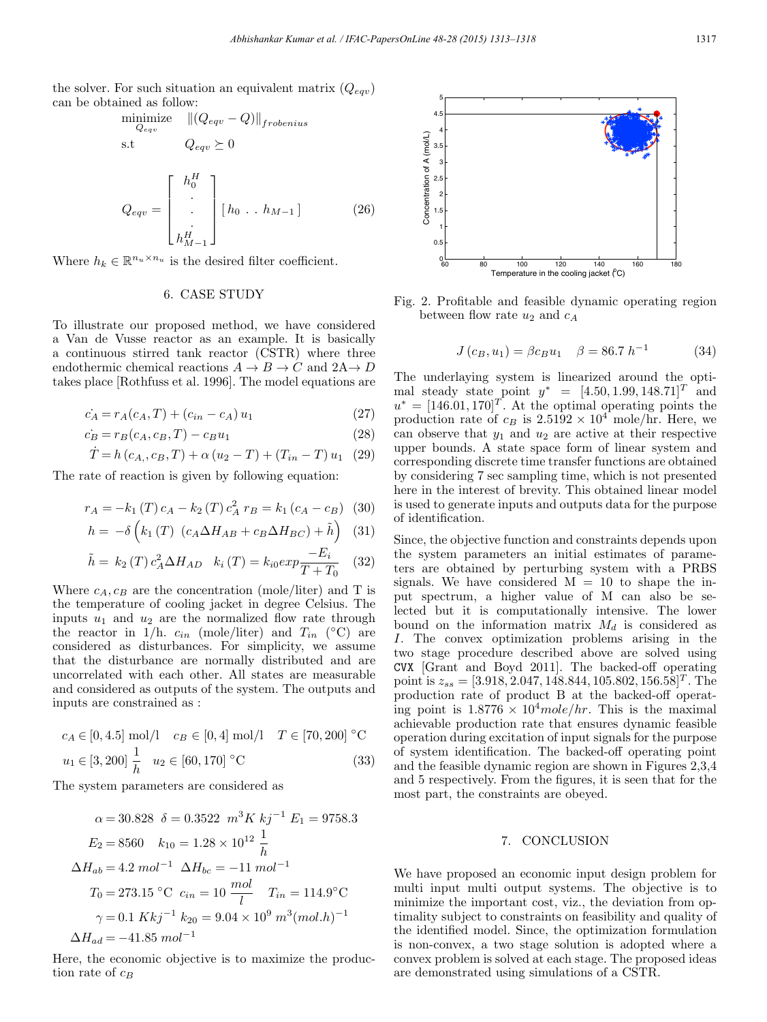the solver. For such situation an equivalent matrix  $(Q_{eqv})$ can be obtained as follow:

$$
\begin{aligned}\n\underset{Q_{eqv}}{\text{minimize}} & & \quad \|(Q_{eqv} - Q)\|_{frobenius} \\
\text{s.t} & & & Q_{eqv} \ge 0\n\end{aligned}
$$

$$
Q_{eqv} = \begin{bmatrix} h_0^H \\ \vdots \\ h_{M-1}^H \end{bmatrix} [h_0 \dots h_{M-1}]
$$
 (26)

Where  $h_k \in \mathbb{R}^{n_u \times n_u}$  is the desired filter coefficient.

#### 6. CASE STUDY

To illustrate our proposed method, we have considered a Van de Vusse reactor as an example. It is basically a continuous stirred tank reactor (CSTR) where three endothermic chemical reactions  $A \to B \to C$  and  $2A \to D$ takes place [Rothfuss et al. 1996]. The model equations are

$$
\dot{c}_A = r_A(c_A, T) + (c_{in} - c_A) u_1 \tag{27}
$$

$$
\dot{c}_B = r_B(c_A, c_B, T) - c_B u_1 \tag{28}
$$

$$
\dot{T} = h(c_{A_1}, c_B, T) + \alpha (u_2 - T) + (T_{in} - T) u_1
$$
 (29)

The rate of reaction is given by following equation:

$$
r_A = -k_1(T) c_A - k_2(T) c_A^2 r_B = k_1 (c_A - c_B)
$$
 (30)

$$
h = -\delta \left( k_1 \left( T \right) \left( c_A \Delta H_{AB} + c_B \Delta H_{BC} \right) + \tilde{h} \right) \tag{31}
$$

$$
\tilde{h} = k_2(T) c_A^2 \Delta H_{AD} \quad k_i(T) = k_{i0} exp \frac{-E_i}{T + T_0} \quad (32)
$$

Where  $c_A, c_B$  are the concentration (mole/liter) and T is the temperature of cooling jacket in degree Celsius. The inputs  $u_1$  and  $u_2$  are the normalized flow rate through the reactor in 1/h.  $c_{in}$  (mole/liter) and  $T_{in}$  (°C) are considered as disturbances. For simplicity, we assume that the disturbance are normally distributed and are uncorrelated with each other. All states are measurable and considered as outputs of the system. The outputs and inputs are constrained as :

$$
c_A \in [0, 4.5] \text{ mol/l} \quad c_B \in [0, 4] \text{ mol/l} \quad T \in [70, 200] \text{ °C}
$$

$$
u_1 \in [3, 200] \frac{1}{h} \quad u_2 \in [60, 170] \text{ °C}
$$
(33)

The system parameters are considered as

$$
\alpha = 30.828 \quad \delta = 0.3522 \quad m^3 K \quad kj^{-1} \quad E_1 = 9758.3
$$
\n
$$
E_2 = 8560 \quad k_{10} = 1.28 \times 10^{12} \frac{1}{h}
$$
\n
$$
\Delta H_{ab} = 4.2 \quad mol^{-1} \quad \Delta H_{bc} = -11 \quad mol^{-1}
$$
\n
$$
T_0 = 273.15 \, ^\circ\text{C} \quad c_{in} = 10 \quad \frac{mol}{l} \quad T_{in} = 114.9 \, ^\circ\text{C}
$$
\n
$$
\gamma = 0.1 \quad Kkj^{-1} \quad k_{20} = 9.04 \times 10^9 \quad m^3 (mol.h)^{-1}
$$
\n
$$
\Delta H_{ad} = -41.85 \quad mol^{-1}
$$

Here, the economic objective is to maximize the production rate of  $c_B$ 



Fig. 2. Profitable and feasible dynamic operating region between flow rate  $u_2$  and  $c_A$ 

$$
J(c_B, u_1) = \beta c_B u_1 \quad \beta = 86.7 \ h^{-1} \tag{34}
$$

The underlaying system is linearized around the optimal steady state point  $y^* = [4.50, 1.99, 148.71]^T$  and  $u^* = [146.01, 170]^T$ . At the optimal operating points the production rate of  $c_B$  is  $2.5192 \times 10^4$  mole/hr. Here, we can observe that  $y_1$  and  $u_2$  are active at their respective upper bounds. A state space form of linear system and corresponding discrete time transfer functions are obtained by considering 7 sec sampling time, which is not presented here in the interest of brevity. This obtained linear model is used to generate inputs and outputs data for the purpose of identification.

Since, the objective function and constraints depends upon the system parameters an initial estimates of parameters are obtained by perturbing system with a PRBS signals. We have considered  $M = 10$  to shape the input spectrum, a higher value of M can also be selected but it is computationally intensive. The lower bound on the information matrix  $M_d$  is considered as I. The convex optimization problems arising in the two stage procedure described above are solved using CVX [Grant and Boyd 2011]. The backed-off operating point is  $z_{ss} = [3.918, 2.047, 148.844, 105.802, 156.58]^T$ . The production rate of product B at the backed-off operating point is  $1.8776 \times 10^4$  mole/hr. This is the maximal achievable production rate that ensures dynamic feasible operation during excitation of input signals for the purpose of system identification. The backed-off operating point and the feasible dynamic region are shown in Figures 2,3,4 and 5 respectively. From the figures, it is seen that for the most part, the constraints are obeyed.

## 7. CONCLUSION

We have proposed an economic input design problem for multi input multi output systems. The objective is to minimize the important cost, viz., the deviation from optimality subject to constraints on feasibility and quality of the identified model. Since, the optimization formulation is non-convex, a two stage solution is adopted where a convex problem is solved at each stage. The proposed ideas are demonstrated using simulations of a CSTR.